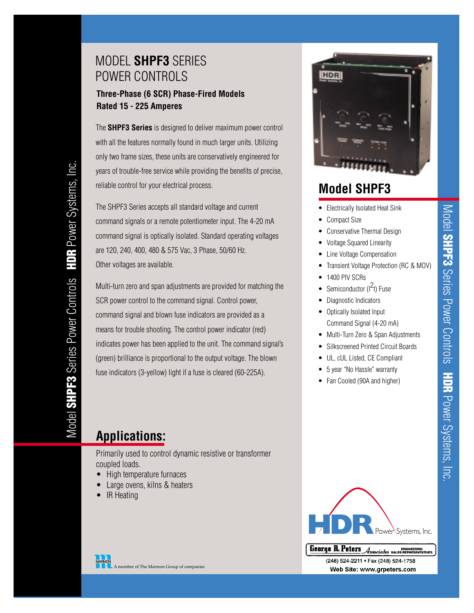## MODEL **SHPF3** SERIES POWER CONTROLS

### **Three-Phase (6 SCR) Phase-Fired Models Rated 15 - 225 Amperes**

The **SHPF3 Series** is designed to deliver maximum power control with all the features normally found in much larger units. Utilizing only two frame sizes, these units are conservatively engineered for years of trouble-free service while providing the benefits of precise, reliable control for your electrical process.

The SHPF3 Series accepts all standard voltage and current command signals or a remote potentiometer input. The 4-20 mA command signal is optically isolated. Standard operating voltages are 120, 240, 400, 480 & 575 Vac, 3 Phase, 50/60 Hz. Other voltages are available.

Multi-turn zero and span adjustments are provided for matching the SCR power control to the command signal. Control power, command signal and blown fuse indicators are provided as a means for trouble shooting. The control power indicator (red) indicates power has been applied to the unit. The command signal's (green) brilliance is proportional to the output voltage. The blown fuse indicators (3-yellow) light if a fuse is cleared (60-225A).

# **Applications:**

Primarily used to control dynamic resistive or transformer coupled loads.

- High temperature furnaces
- Large ovens, kilns & heaters
- IR Heating





# **Model SHPF3**

- Electrically Isolated Heat Sink
- Compact Size
- Conservative Thermal Design
- Voltage Squared Linearity
- Line Voltage Compensation
- Transient Voltage Protection (RC & MOV)
- 1400 PIV SCRs
- Semiconductor  $(l^2t)$  Fuse
- Diagnostic Indicators
- Optically Isolated Input Command Signal (4-20 mA)
- Multi-Turn Zero & Span Adjustments
- Silkscreened Printed Circuit Boards
- UL, cUL Listed, CE Compliant
- 5 year "No Hassle" warranty
- Fan Cooled (90A and higher)



(248) 524-2211 • Fax (248) 524-1758<br>**Web Site: www.grpeters.com** 

A member of The Marmon Group of companies